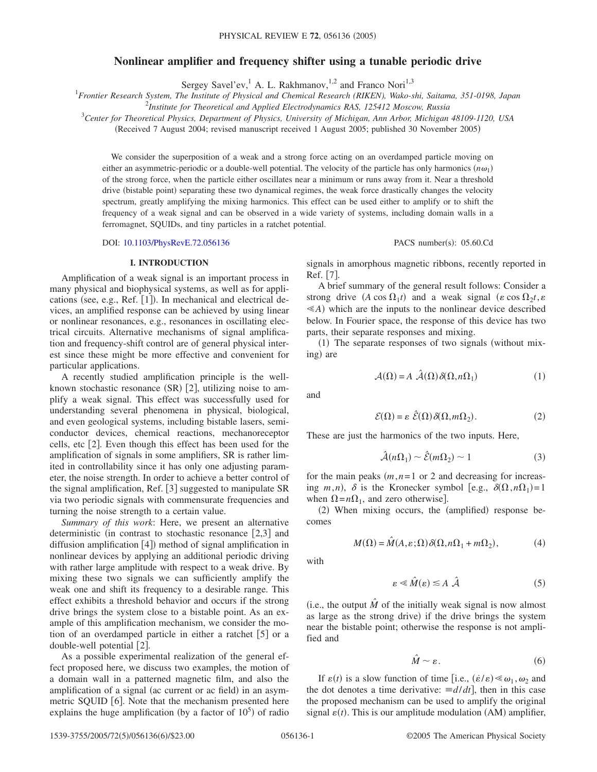# **Nonlinear amplifier and frequency shifter using a tunable periodic drive**

Sergey Savel'ev,<sup>1</sup> A. L. Rakhmanov,<sup>1,2</sup> and Franco Nori<sup>1,3</sup>

1 *Frontier Research System, The Institute of Physical and Chemical Research (RIKEN), Wako-shi, Saitama, 351-0198, Japan*

2 *Institute for Theoretical and Applied Electrodynamics RAS, 125412 Moscow, Russia*

3 *Center for Theoretical Physics, Department of Physics, University of Michigan, Ann Arbor, Michigan 48109-1120, USA*

(Received 7 August 2004; revised manuscript received 1 August 2005; published 30 November 2005)

We consider the superposition of a weak and a strong force acting on an overdamped particle moving on either an asymmetric-periodic or a double-well potential. The velocity of the particle has only harmonics  $(n\omega_1)$ of the strong force, when the particle either oscillates near a minimum or runs away from it. Near a threshold drive (bistable point) separating these two dynamical regimes, the weak force drastically changes the velocity spectrum, greatly amplifying the mixing harmonics. This effect can be used either to amplify or to shift the frequency of a weak signal and can be observed in a wide variety of systems, including domain walls in a ferromagnet, SQUIDs, and tiny particles in a ratchet potential.

DOI: [10.1103/PhysRevE.72.056136](http://dx.doi.org/10.1103/PhysRevE.72.056136)

## **I. INTRODUCTION**

Amplification of a weak signal is an important process in many physical and biophysical systems, as well as for applications (see, e.g., Ref. [1]). In mechanical and electrical devices, an amplified response can be achieved by using linear or nonlinear resonances, e.g., resonances in oscillating electrical circuits. Alternative mechanisms of signal amplification and frequency-shift control are of general physical interest since these might be more effective and convenient for particular applications.

A recently studied amplification principle is the wellknown stochastic resonance (SR) [2], utilizing noise to amplify a weak signal. This effect was successfully used for understanding several phenomena in physical, biological, and even geological systems, including bistable lasers, semiconductor devices, chemical reactions, mechanoreceptor cells, etc  $[2]$ . Even though this effect has been used for the amplification of signals in some amplifiers, SR is rather limited in controllability since it has only one adjusting parameter, the noise strength. In order to achieve a better control of the signal amplification, Ref.  $[3]$  suggested to manipulate SR via two periodic signals with commensurate frequencies and turning the noise strength to a certain value.

*Summary of this work*: Here, we present an alternative deterministic (in contrast to stochastic resonance  $[2,3]$  and diffusion amplification [4]) method of signal amplification in nonlinear devices by applying an additional periodic driving with rather large amplitude with respect to a weak drive. By mixing these two signals we can sufficiently amplify the weak one and shift its frequency to a desirable range. This effect exhibits a threshold behavior and occurs if the strong drive brings the system close to a bistable point. As an example of this amplification mechanism, we consider the motion of an overdamped particle in either a ratchet  $\lceil 5 \rceil$  or a double-well potential  $[2]$ .

As a possible experimental realization of the general effect proposed here, we discuss two examples, the motion of a domain wall in a patterned magnetic film, and also the amplification of a signal (ac current or ac field) in an asymmetric SQUID  $[6]$ . Note that the mechanism presented here explains the huge amplification (by a factor of  $10<sup>5</sup>$ ) of radio

#### PACS number(s): 05.60.Cd

signals in amorphous magnetic ribbons, recently reported in Ref. [7].

A brief summary of the general result follows: Consider a strong drive  $(A \cos \Omega_1 t)$  and a weak signal  $(\varepsilon \cos \Omega_2 t, \varepsilon)$  $\leq$ A) which are the inputs to the nonlinear device described below. In Fourier space, the response of this device has two parts, their separate responses and mixing.

(1) The separate responses of two signals (without mixing) are

$$
\mathcal{A}(\Omega) = A \; \hat{\mathcal{A}}(\Omega) \, \delta(\Omega, n\Omega_1) \tag{1}
$$

and

$$
\mathcal{E}(\Omega) = \varepsilon \ \hat{\mathcal{E}}(\Omega) \, \delta(\Omega, m\Omega_2). \tag{2}
$$

These are just the harmonics of the two inputs. Here,

$$
\hat{\mathcal{A}}(n\Omega_1) \sim \hat{\mathcal{E}}(m\Omega_2) \sim 1\tag{3}
$$

for the main peaks  $(m, n=1 \text{ or } 2 \text{ and decreasing for increase-}$ ing *m*,*n*),  $\delta$  is the Kronecker symbol [e.g.,  $\delta(\Omega, n\Omega_1) = 1$ when  $\Omega = n\Omega_1$ , and zero otherwise.]

(2) When mixing occurs, the (amplified) response becomes

$$
M(\Omega) = \hat{M}(A, \varepsilon; \Omega) \delta(\Omega, n\Omega_1 + m\Omega_2), \tag{4}
$$

with

$$
\varepsilon \ll \hat{M}(\varepsilon) \lesssim A \hat{\mathcal{A}} \tag{5}
$$

(i.e., the output  $\hat{M}$  of the initially weak signal is now almost as large as the strong drive) if the drive brings the system near the bistable point; otherwise the response is not amplified and

$$
\hat{M} \sim \varepsilon. \tag{6}
$$

If  $\varepsilon(t)$  is a slow function of time [i.e.,  $(\dot{\varepsilon}/\varepsilon) \ll \omega_1, \omega_2$  and the dot denotes a time derivative:  $\equiv d/dt$ , then in this case the proposed mechanism can be used to amplify the original signal  $\varepsilon(t)$ . This is our amplitude modulation (AM) amplifier,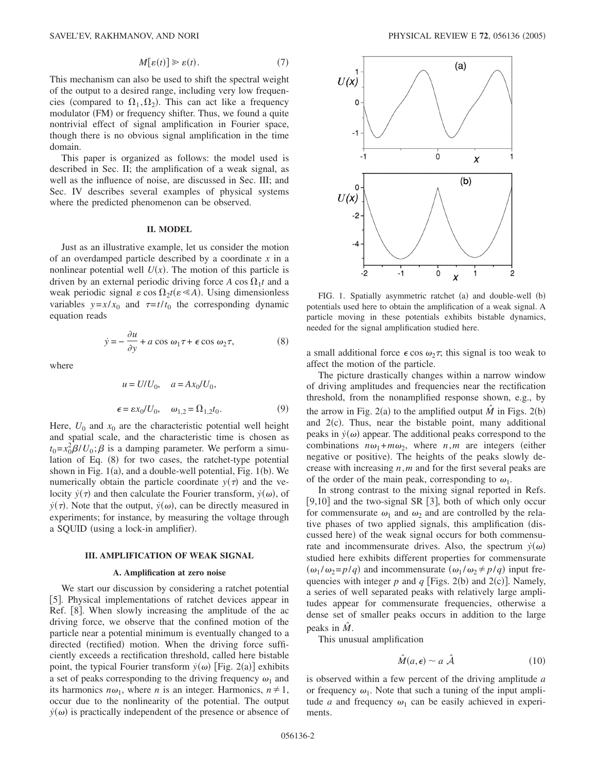$$
M[\varepsilon(t)] \ge \varepsilon(t). \tag{7}
$$

This mechanism can also be used to shift the spectral weight of the output to a desired range, including very low frequencies (compared to  $\Omega_1, \Omega_2$ ). This can act like a frequency modulator (FM) or frequency shifter. Thus, we found a quite nontrivial effect of signal amplification in Fourier space, though there is no obvious signal amplification in the time domain.

This paper is organized as follows: the model used is described in Sec. II; the amplification of a weak signal, as well as the influence of noise, are discussed in Sec. III; and Sec. IV describes several examples of physical systems where the predicted phenomenon can be observed.

# **II. MODEL**

Just as an illustrative example, let us consider the motion of an overdamped particle described by a coordinate *x* in a nonlinear potential well  $U(x)$ . The motion of this particle is driven by an external periodic driving force  $A \cos \Omega_1 t$  and a weak periodic signal  $\varepsilon \cos \Omega_2 t (\varepsilon \ll A)$ . Using dimensionless variables  $y=x/x_0$  and  $\tau=t/t_0$  the corresponding dynamic equation reads

$$
\dot{y} = -\frac{\partial u}{\partial y} + a\cos\omega_1 \tau + \epsilon\cos\omega_2 \tau,
$$
 (8)

where

$$
u = U/U_0, \quad a = Ax_0/U_0,
$$
  

$$
\epsilon = \varepsilon x_0/U_0, \quad \omega_{1,2} = \Omega_{1,2}t_0.
$$
 (9)

Here,  $U_0$  and  $x_0$  are the characteristic potential well height and spatial scale, and the characteristic time is chosen as  $t_0 = x_0^2 \beta / U_0$ ;  $\beta$  is a damping parameter. We perform a simulation of Eq. (8) for two cases, the ratchet-type potential shown in Fig. 1(a), and a double-well potential, Fig. 1(b). We numerically obtain the particle coordinate  $y(\tau)$  and the velocity  $\dot{y}(\tau)$  and then calculate the Fourier transform,  $\dot{y}(\omega)$ , of  $\dot{y}(\tau)$ . Note that the output,  $\dot{y}(\omega)$ , can be directly measured in experiments; for instance, by measuring the voltage through a SQUID (using a lock-in amplifier).

#### **III. AMPLIFICATION OF WEAK SIGNAL**

#### **A. Amplification at zero noise**

We start our discussion by considering a ratchet potential [5]. Physical implementations of ratchet devices appear in Ref.  $[8]$ . When slowly increasing the amplitude of the ac driving force, we observe that the confined motion of the particle near a potential minimum is eventually changed to a directed (rectified) motion. When the driving force sufficiently exceeds a rectification threshold, called here bistable point, the typical Fourier transform  $\dot{y}(\omega)$  [Fig. 2(a)] exhibits a set of peaks corresponding to the driving frequency  $\omega_1$  and its harmonics  $n\omega_1$ , where *n* is an integer. Harmonics,  $n \neq 1$ , occur due to the nonlinearity of the potential. The output  $\dot{y}(\omega)$  is practically independent of the presence or absence of



FIG. 1. Spatially asymmetric ratchet (a) and double-well (b) potentials used here to obtain the amplification of a weak signal. A particle moving in these potentials exhibits bistable dynamics, needed for the signal amplification studied here.

a small additional force  $\epsilon \cos \omega_2 \tau$ , this signal is too weak to affect the motion of the particle.

The picture drastically changes within a narrow window of driving amplitudes and frequencies near the rectification threshold, from the nonamplified response shown, e.g., by the arrow in Fig. 2(a) to the amplified output  $\hat{M}$  in Figs. 2(b) and  $2(c)$ . Thus, near the bistable point, many additional peaks in  $\dot{y}(\omega)$  appear. The additional peaks correspond to the combinations  $n\omega_1+m\omega_2$ , where  $n,m$  are integers (either negative or positive). The heights of the peaks slowly decrease with increasing *n*,*m* and for the first several peaks are of the order of the main peak, corresponding to  $\omega_1$ .

In strong contrast to the mixing signal reported in Refs. [9,10] and the two-signal SR [3], both of which only occur for commensurate  $\omega_1$  and  $\omega_2$  and are controlled by the relative phases of two applied signals, this amplification discussed here) of the weak signal occurs for both commensurate and incommensurate drives. Also, the spectrum  $\dot{y}(\omega)$ studied here exhibits different properties for commensurate  $(\omega_1 / \omega_2 = p/q)$  and incommensurate  $(\omega_1 / \omega_2 \neq p/q)$  input frequencies with integer  $p$  and  $q$  [Figs. 2(b) and 2(c)]. Namely, a series of well separated peaks with relatively large amplitudes appear for commensurate frequencies, otherwise a dense set of smaller peaks occurs in addition to the large peaks in *M*.

This unusual amplification

$$
\hat{M}(a,\epsilon) \sim a \hat{\mathcal{A}} \tag{10}
$$

is observed within a few percent of the driving amplitude *a* or frequency  $\omega_1$ . Note that such a tuning of the input amplitude *a* and frequency  $\omega_1$  can be easily achieved in experiments.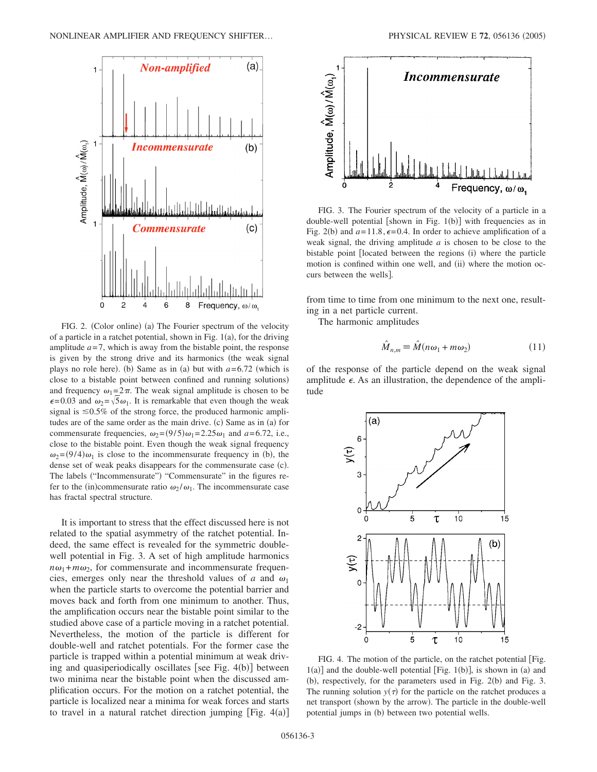

FIG. 2. (Color online) (a) The Fourier spectrum of the velocity of a particle in a ratchet potential, shown in Fig.  $1(a)$ , for the driving amplitude  $a=7$ , which is away from the bistable point, the response is given by the strong drive and its harmonics (the weak signal plays no role here). (b) Same as in (a) but with  $a=6.72$  (which is close to a bistable point between confined and running solutions) and frequency  $\omega_1=2\pi$ . The weak signal amplitude is chosen to be  $\epsilon$ =0.03 and  $\omega_2$ = $\sqrt{5}\omega_1$ . It is remarkable that even though the weak signal is  $\leq 0.5\%$  of the strong force, the produced harmonic amplitudes are of the same order as the main drive. (c) Same as in (a) for commensurate frequencies,  $\omega_2 = (9/5)\omega_1 = 2.25\omega_1$  and  $a = 6.72$ , i.e., close to the bistable point. Even though the weak signal frequency  $\omega_2 = (9/4)\omega_1$  is close to the incommensurate frequency in (b), the dense set of weak peaks disappears for the commensurate case (c). The labels ("Incommensurate") "Commensurate" in the figures refer to the (in)commensurate ratio  $\omega_2 / \omega_1$ . The incommensurate case has fractal spectral structure.

It is important to stress that the effect discussed here is not related to the spatial asymmetry of the ratchet potential. Indeed, the same effect is revealed for the symmetric doublewell potential in Fig. 3. A set of high amplitude harmonics  $n\omega_1 + m\omega_2$ , for commensurate and incommensurate frequencies, emerges only near the threshold values of *a* and  $\omega_1$ when the particle starts to overcome the potential barrier and moves back and forth from one minimum to another. Thus, the amplification occurs near the bistable point similar to the studied above case of a particle moving in a ratchet potential. Nevertheless, the motion of the particle is different for double-well and ratchet potentials. For the former case the particle is trapped within a potential minimum at weak driving and quasiperiodically oscillates [see Fig. 4(b)] between two minima near the bistable point when the discussed amplification occurs. For the motion on a ratchet potential, the particle is localized near a minima for weak forces and starts to travel in a natural ratchet direction jumping  $[Fig. 4(a)]$ 



FIG. 3. The Fourier spectrum of the velocity of a particle in a double-well potential [shown in Fig. 1(b)] with frequencies as in Fig. 2(b) and  $a=11.8$ ,  $\epsilon=0.4$ . In order to achieve amplification of a weak signal, the driving amplitude *a* is chosen to be close to the bistable point [located between the regions (i) where the particle motion is confined within one well, and (ii) where the motion occurs between the wells].

from time to time from one minimum to the next one, resulting in a net particle current.

The harmonic amplitudes

$$
\hat{M}_{n,m} \equiv \hat{M}(n\omega_1 + m\omega_2) \tag{11}
$$

of the response of the particle depend on the weak signal amplitude  $\epsilon$ . As an illustration, the dependence of the amplitude



FIG. 4. The motion of the particle, on the ratchet potential [Fig.  $1(a)$ ] and the double-well potential [Fig.  $1(b)$ ], is shown in (a) and (b), respectively, for the parameters used in Fig. 2(b) and Fig. 3. The running solution  $y(\tau)$  for the particle on the ratchet produces a net transport (shown by the arrow). The particle in the double-well potential jumps in (b) between two potential wells.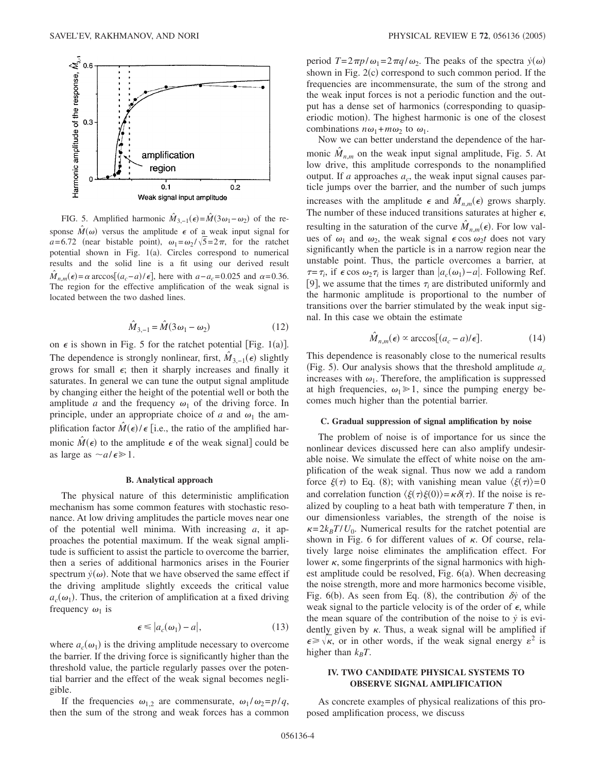

FIG. 5. Amplified harmonic  $\hat{M}_{3,-1}(\epsilon) = \hat{M}(3\omega_1 - \omega_2)$  of the response  $\hat{M}(\omega)$  versus the amplitude  $\epsilon$  of a weak input signal for  $a=6.72$  (near bistable point),  $\omega_1=\omega_2/\sqrt{5}=2\pi$ , for the ratchet potential shown in Fig. 1(a). Circles correspond to numerical results and the solid line is a fit using our derived result  $\hat{M}_{n,m}(\epsilon) = \alpha \arccos[(a_c - a)/\epsilon]$ , here with  $a - a_c = 0.025$  and  $\alpha = 0.36$ . The region for the effective amplification of the weak signal is located between the two dashed lines.

$$
\hat{M}_{3,-1} = \hat{M}(3\omega_1 - \omega_2) \tag{12}
$$

on  $\epsilon$  is shown in Fig. 5 for the ratchet potential [Fig. 1(a)]. The dependence is strongly nonlinear, first,  $\hat{M}_{3,-1}(\epsilon)$  slightly grows for small  $\epsilon$ ; then it sharply increases and finally it saturates. In general we can tune the output signal amplitude by changing either the height of the potential well or both the amplitude *a* and the frequency  $\omega_1$  of the driving force. In principle, under an appropriate choice of *a* and  $\omega_1$  the amplification factor  $\hat{M}(\epsilon)/\epsilon$  [i.e., the ratio of the amplified harmonic  $\hat{M}(\epsilon)$  to the amplitude  $\epsilon$  of the weak signal] could be as large as  $\sim a/\epsilon \geq 1$ .

## **B. Analytical approach**

The physical nature of this deterministic amplification mechanism has some common features with stochastic resonance. At low driving amplitudes the particle moves near one of the potential well minima. With increasing *a*, it approaches the potential maximum. If the weak signal amplitude is sufficient to assist the particle to overcome the barrier, then a series of additional harmonics arises in the Fourier spectrum  $\dot{y}(\omega)$ . Note that we have observed the same effect if the driving amplitude slightly exceeds the critical value  $a_c(\omega_1)$ . Thus, the criterion of amplification at a fixed driving frequency  $\omega_1$  is

$$
\epsilon \leq |a_c(\omega_1) - a|,\tag{13}
$$

where  $a_c(\omega_1)$  is the driving amplitude necessary to overcome the barrier. If the driving force is significantly higher than the threshold value, the particle regularly passes over the potential barrier and the effect of the weak signal becomes negligible.

If the frequencies  $\omega_{1,2}$  are commensurate,  $\omega_1 / \omega_2 = p/q$ , then the sum of the strong and weak forces has a common

period  $T=2\pi p/\omega_1=2\pi q/\omega_2$ . The peaks of the spectra  $\dot{y}(\omega)$ shown in Fig. 2(c) correspond to such common period. If the frequencies are incommensurate, the sum of the strong and the weak input forces is not a periodic function and the output has a dense set of harmonics (corresponding to quasiperiodic motion). The highest harmonic is one of the closest combinations  $n\omega_1 + m\omega_2$  to  $\omega_1$ .

Now we can better understand the dependence of the harmonic  $\hat{M}_{nm}$  on the weak input signal amplitude, Fig. 5. At low drive, this amplitude corresponds to the nonamplified output. If  $a$  approaches  $a_c$ , the weak input signal causes particle jumps over the barrier, and the number of such jumps increases with the amplitude  $\epsilon$  and  $\hat{M}_{n,m}(\epsilon)$  grows sharply. The number of these induced transitions saturates at higher  $\epsilon$ , resulting in the saturation of the curve  $\hat{M}_{n,m}(\epsilon)$ . For low values of  $\omega_1$  and  $\omega_2$ , the weak signal  $\epsilon \cos \omega_2 t$  does not vary significantly when the particle is in a narrow region near the unstable point. Thus, the particle overcomes a barrier, at  $\tau = \tau_i$ , if  $\epsilon \cos \omega_2 \tau_i$  is larger than  $|a_c(\omega_1) - a|$ . Following Ref. [9], we assume that the times  $\tau_i$  are distributed uniformly and the harmonic amplitude is proportional to the number of transitions over the barrier stimulated by the weak input signal. In this case we obtain the estimate

$$
\hat{M}_{n,m}(\epsilon) \propto \arccos[(a_c - a)/\epsilon]. \tag{14}
$$

This dependence is reasonably close to the numerical results (Fig. 5). Our analysis shows that the threshold amplitude  $a_c$ increases with  $\omega_1$ . Therefore, the amplification is suppressed at high frequencies,  $\omega_1 \geq 1$ , since the pumping energy becomes much higher than the potential barrier.

## **C. Gradual suppression of signal amplification by noise**

The problem of noise is of importance for us since the nonlinear devices discussed here can also amplify undesirable noise. We simulate the effect of white noise on the amplification of the weak signal. Thus now we add a random force  $\xi(\tau)$  to Eq. (8); with vanishing mean value  $\langle \xi(\tau) \rangle = 0$ and correlation function  $\langle \xi(\tau) \xi(0) \rangle = \kappa \delta(\tau)$ . If the noise is realized by coupling to a heat bath with temperature *T* then, in our dimensionless variables, the strength of the noise is  $\kappa = 2k_BT/U_0$ . Numerical results for the ratchet potential are shown in Fig. 6 for different values of  $\kappa$ . Of course, relatively large noise eliminates the amplification effect. For lower  $\kappa$ , some fingerprints of the signal harmonics with highest amplitude could be resolved, Fig. 6(a). When decreasing the noise strength, more and more harmonics become visible, Fig.  $6(b)$ . As seen from Eq. (8), the contribution  $\delta \dot{y}$  of the weak signal to the particle velocity is of the order of  $\epsilon$ , while the mean square of the contribution of the noise to  $\dot{y}$  is evidently given by  $\kappa$ . Thus, a weak signal will be amplified if  $\epsilon \geq \sqrt{\kappa}$ , or in other words, if the weak signal energy  $\epsilon^2$  is higher than  $k_BT$ .

# **IV. TWO CANDIDATE PHYSICAL SYSTEMS TO OBSERVE SIGNAL AMPLIFICATION**

As concrete examples of physical realizations of this proposed amplification process, we discuss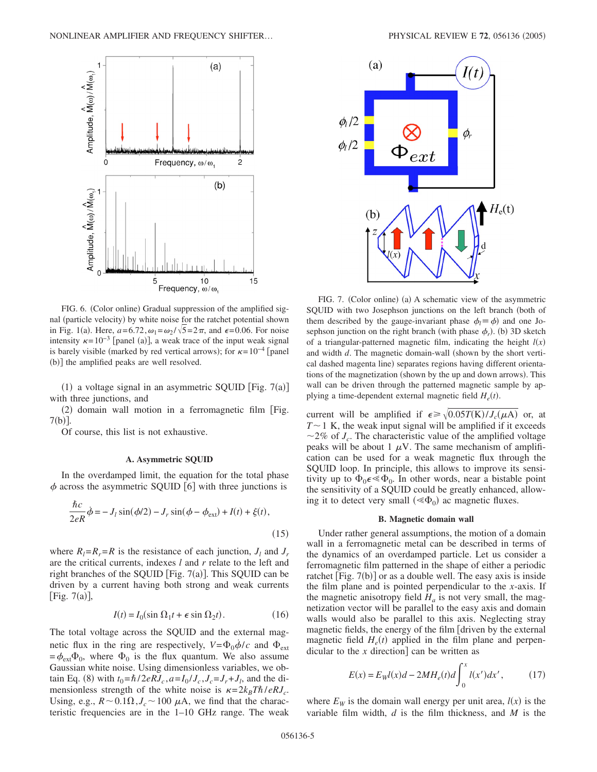

FIG. 6. (Color online) Gradual suppression of the amplified signal (particle velocity) by white noise for the ratchet potential shown in Fig. 1(a). Here,  $a=6.72$ ,  $\omega_1 = \omega_2 / \sqrt{5} = 2\pi$ , and  $\epsilon=0.06$ . For noise intensity  $\kappa = 10^{-3}$  [panel (a)], a weak trace of the input weak signal is barely visible (marked by red vertical arrows); for  $\kappa = 10^{-4}$  [panel (b)] the amplified peaks are well resolved.

(1) a voltage signal in an asymmetric SQUID [Fig.  $7(a)$ ] with three junctions, and

(2) domain wall motion in a ferromagnetic film [Fig.  $7(b)$ ].

Of course, this list is not exhaustive.

#### **A. Asymmetric SQUID**

In the overdamped limit, the equation for the total phase  $\phi$  across the asymmetric SQUID [6] with three junctions is

$$
\frac{\hbar c}{2eR}\dot{\phi} = -J_l \sin(\phi/2) - J_r \sin(\phi - \phi_{ext}) + I(t) + \xi(t),
$$
\n(15)

where  $R_l = R_r = R$  is the resistance of each junction,  $J_l$  and  $J_r$ are the critical currents, indexes *l* and *r* relate to the left and right branches of the SQUID [Fig.  $7(a)$ ]. This SQUID can be driven by a current having both strong and weak currents [Fig.  $7(a)$ ],

$$
I(t) = I_0(\sin \Omega_1 t + \epsilon \sin \Omega_2 t). \tag{16}
$$

The total voltage across the SQUID and the external magnetic flux in the ring are respectively,  $V = \Phi_0 \dot{\phi}/c$  and  $\Phi_{ext}$  $=\phi_{ext}\Phi_0$ , where  $\Phi_0$  is the flux quantum. We also assume Gaussian white noise. Using dimensionless variables, we ob- $\tan \text{Eq. (8) with } t_0 = \hbar/2eRJ_c$ ,  $a = I_0 / J_c$ ,  $J_c = J_r + J_l$ , and the dimensionless strength of the white noise is  $\kappa = 2k_B T \hbar / eRJ_c$ . Using, e.g.,  $R \sim 0.1 \Omega$ ,  $J_c \sim 100 \mu$ A, we find that the characteristic frequencies are in the 1–10 GHz range. The weak



FIG. 7. (Color online) (a) A schematic view of the asymmetric SQUID with two Josephson junctions on the left branch (both of them described by the gauge-invariant phase  $\phi_l \equiv \phi$ ) and one Josephson junction on the right branch (with phase  $\phi_r$ ). (b) 3D sketch of a triangular-patterned magnetic film, indicating the height  $l(x)$ and width *d*. The magnetic domain-wall (shown by the short vertical dashed magenta line) separates regions having different orientations of the magnetization (shown by the up and down arrows). This wall can be driven through the patterned magnetic sample by applying a time-dependent external magnetic field  $H_e(t)$ .

current will be amplified if  $\epsilon \ge \sqrt{0.05T(K)/J_c(\mu A)}$  or, at  $T \sim 1$  K, the weak input signal will be amplified if it exceeds  $\sim$ 2% of *J<sub>c</sub>*. The characteristic value of the amplified voltage peaks will be about 1  $\mu$ V. The same mechanism of amplification can be used for a weak magnetic flux through the SQUID loop. In principle, this allows to improve its sensitivity up to  $\Phi_0 \in \mathcal{L}_{0}$ . In other words, near a bistable point the sensitivity of a SQUID could be greatly enhanced, allowing it to detect very small  $(\ll \Phi_0)$  ac magnetic fluxes.

#### **B. Magnetic domain wall**

Under rather general assumptions, the motion of a domain wall in a ferromagnetic metal can be described in terms of the dynamics of an overdamped particle. Let us consider a ferromagnetic film patterned in the shape of either a periodic ratchet [Fig. 7(b)] or as a double well. The easy axis is inside the film plane and is pointed perpendicular to the *x*-axis. If the magnetic anisotropy field  $H_a$  is not very small, the magnetization vector will be parallel to the easy axis and domain walls would also be parallel to this axis. Neglecting stray magnetic fields, the energy of the film driven by the external magnetic field  $H_e(t)$  applied in the film plane and perpendicular to the  $x$  direction can be written as

$$
E(x) = EWl(x)d - 2MHe(t)d\int_0^x l(x')dx',
$$
 (17)

where  $E_W$  is the domain wall energy per unit area,  $l(x)$  is the variable film width, *d* is the film thickness, and *M* is the